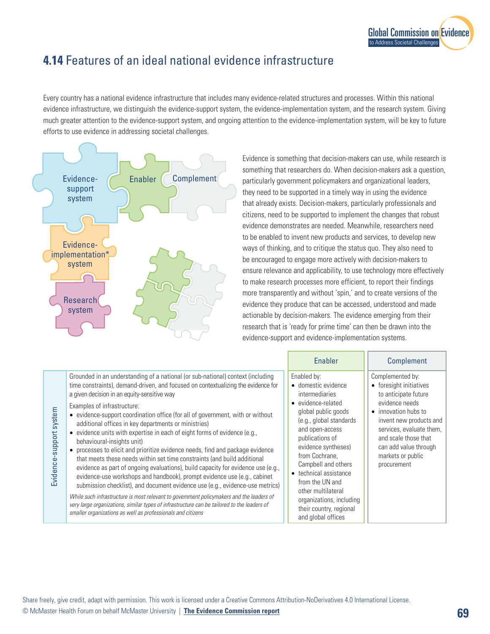## **4.14** Features of an ideal national evidence infrastructure

Every country has a national evidence infrastructure that includes many evidence-related structures and processes. Within this national evidence infrastructure, we distinguish the evidence-support system, the evidence-implementation system, and the research system. Giving much greater attention to the evidence-support system, and ongoing attention to the evidence-implementation system, will be key to future efforts to use evidence in addressing societal challenges.



Evidence is something that decision-makers can use, while research is something that researchers do. When decision-makers ask a question, particularly government policymakers and organizational leaders, they need to be supported in a timely way in using the evidence that already exists. Decision-makers, particularly professionals and citizens, need to be supported to implement the changes that robust evidence demonstrates are needed. Meanwhile, researchers need to be enabled to invent new products and services, to develop new ways of thinking, and to critique the status quo. They also need to be encouraged to engage more actively with decision-makers to ensure relevance and applicability, to use technology more effectively to make research processes more efficient, to report their findings more transparently and without 'spin,' and to create versions of the evidence they produce that can be accessed, understood and made actionable by decision-makers. The evidence emerging from their research that is 'ready for prime time' can then be drawn into the evidence-support and evidence-implementation systems.

|                         |                                                                                                                                                                                                                                                                                                                                                                                                                                                                                                                                                                                                                                                                                                                                                                                                                                                                                                                                                                                                                                                                                                                                                                                          | Enabler                                                                                                                                                                                                                                                                                                                                                                                        | Complement                                                                                                                                                                                                                                                        |
|-------------------------|------------------------------------------------------------------------------------------------------------------------------------------------------------------------------------------------------------------------------------------------------------------------------------------------------------------------------------------------------------------------------------------------------------------------------------------------------------------------------------------------------------------------------------------------------------------------------------------------------------------------------------------------------------------------------------------------------------------------------------------------------------------------------------------------------------------------------------------------------------------------------------------------------------------------------------------------------------------------------------------------------------------------------------------------------------------------------------------------------------------------------------------------------------------------------------------|------------------------------------------------------------------------------------------------------------------------------------------------------------------------------------------------------------------------------------------------------------------------------------------------------------------------------------------------------------------------------------------------|-------------------------------------------------------------------------------------------------------------------------------------------------------------------------------------------------------------------------------------------------------------------|
| Evidence-support system | Grounded in an understanding of a national (or sub-national) context (including<br>time constraints), demand-driven, and focused on contextualizing the evidence for<br>a given decision in an equity-sensitive way<br>Examples of infrastructure:<br>• evidence-support coordination office (for all of government, with or without<br>additional offices in key departments or ministries)<br>$\bullet$ evidence units with expertise in each of eight forms of evidence (e.g.,<br>behavioural-insights unit)<br>• processes to elicit and prioritize evidence needs, find and package evidence<br>that meets these needs within set time constraints (and build additional<br>evidence as part of ongoing evaluations), build capacity for evidence use (e.g.,<br>evidence-use workshops and handbook), prompt evidence use (e.g., cabinet<br>submission checklist), and document evidence use (e.g., evidence-use metrics)<br>While such infrastructure is most relevant to government policymakers and the leaders of<br>very large organizations, similar types of infrastructure can be tailored to the leaders of<br>smaller organizations as well as professionals and citizens | Enabled by:<br>• domestic evidence<br>intermediaries<br>evidence-related<br>$\bullet$<br>global public goods<br>(e.g., global standards)<br>and open-access<br>publications of<br>evidence syntheses)<br>from Cochrane,<br>Campbell and others<br>• technical assistance<br>from the UN and<br>other multilateral<br>organizations, including<br>their country, regional<br>and global offices | Complemented by:<br>• foresight initiatives<br>to anticipate future<br>evidence needs<br>$\bullet$ innovation hubs to<br>invent new products and<br>services, evaluate them,<br>and scale those that<br>can add value through<br>markets or public<br>procurement |

Share freely, give credit, adapt with permission. This work is licensed under a Creative Commons Attribution-NoDerivatives 4.0 International License.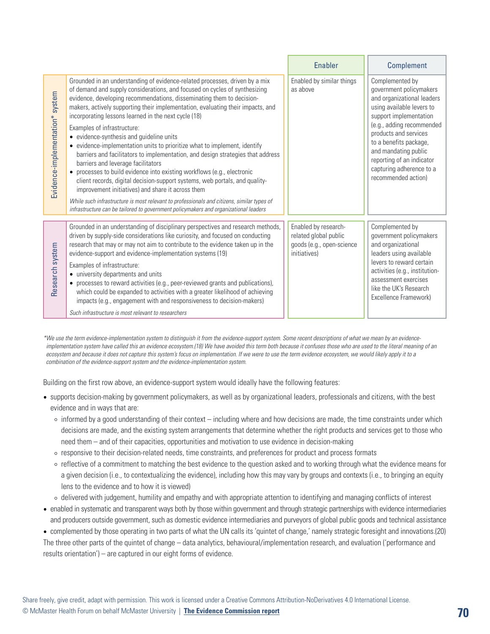|                                 |                                                                                                                                                                                                                                                                                                                                                                                                                                                                                                                                                                                                                                                                                                                                                                                                                                                                                                                                                                                                                                                                     | <b>Enabler</b>                                                                                    | Complement                                                                                                                                                                                                                                                                                                              |
|---------------------------------|---------------------------------------------------------------------------------------------------------------------------------------------------------------------------------------------------------------------------------------------------------------------------------------------------------------------------------------------------------------------------------------------------------------------------------------------------------------------------------------------------------------------------------------------------------------------------------------------------------------------------------------------------------------------------------------------------------------------------------------------------------------------------------------------------------------------------------------------------------------------------------------------------------------------------------------------------------------------------------------------------------------------------------------------------------------------|---------------------------------------------------------------------------------------------------|-------------------------------------------------------------------------------------------------------------------------------------------------------------------------------------------------------------------------------------------------------------------------------------------------------------------------|
| Evidence-implementation* system | Grounded in an understanding of evidence-related processes, driven by a mix<br>of demand and supply considerations, and focused on cycles of synthesizing<br>evidence, developing recommendations, disseminating them to decision-<br>makers, actively supporting their implementation, evaluating their impacts, and<br>incorporating lessons learned in the next cycle (18)<br>Examples of infrastructure:<br>• evidence-synthesis and guideline units<br>• evidence-implementation units to prioritize what to implement, identify<br>barriers and facilitators to implementation, and design strategies that address<br>barriers and leverage facilitators<br>• processes to build evidence into existing workflows (e.g., electronic<br>client records, digital decision-support systems, web portals, and quality-<br>improvement initiatives) and share it across them<br>While such infrastructure is most relevant to professionals and citizens, similar types of<br>infrastructure can be tailored to government policymakers and organizational leaders | Enabled by similar things<br>as above                                                             | Complemented by<br>government policymakers<br>and organizational leaders<br>using available levers to<br>support implementation<br>(e.g., adding recommended<br>products and services<br>to a benefits package,<br>and mandating public<br>reporting of an indicator<br>capturing adherence to a<br>recommended action) |
| Research system                 | Grounded in an understanding of disciplinary perspectives and research methods,<br>driven by supply-side considerations like curiosity, and focused on conducting<br>research that may or may not aim to contribute to the evidence taken up in the<br>evidence-support and evidence-implementation systems (19)<br>Examples of infrastructure:<br>• university departments and units<br>• processes to reward activities (e.g., peer-reviewed grants and publications),<br>which could be expanded to activities with a greater likelihood of achieving<br>impacts (e.g., engagement with and responsiveness to decision-makers)<br>Such infrastructure is most relevant to researchers                                                                                                                                                                                                                                                                                                                                                                            | Enabled by research-<br>related global public<br>goods (e.g., open-science<br><i>initiatives)</i> | Complemented by<br>government policymakers<br>and organizational<br>leaders using available<br>levers to reward certain<br>activities (e.g., institution-<br>assessment exercises<br>like the UK's Research<br>Excellence Framework)                                                                                    |

*\*We use the term evidence-implementation system to distinguish it from the evidence-support system. Some recent descriptions of what we mean by an evidence implementation system have called this an evidence ecosystem.(18) We have avoided this term both because it confuses those who are used to the literal meaning of an ecosystem and because it does not capture this system's focus on implementation. If we were to use the term evidence ecosystem, we would likely apply it to a combination of the evidence-support system and the evidence-implementation system.* 

Building on the first row above, an evidence-support system would ideally have the following features:

- supports decision-making by government policymakers, as well as by organizational leaders, professionals and citizens, with the best evidence and in ways that are:
	- ⚪ informed by a good understanding of their context including where and how decisions are made, the time constraints under which decisions are made, and the existing system arrangements that determine whether the right products and services get to those who need them – and of their capacities, opportunities and motivation to use evidence in decision-making
	- ⚪ responsive to their decision-related needs, time constraints, and preferences for product and process formats
	- ⚪ reflective of a commitment to matching the best evidence to the question asked and to working through what the evidence means for a given decision (i.e., to contextualizing the evidence), including how this may vary by groups and contexts (i.e., to bringing an equity lens to the evidence and to how it is viewed)
	- ⚪ delivered with judgement, humility and empathy and with appropriate attention to identifying and managing conflicts of interest
- enabled in systematic and transparent ways both by those within government and through strategic partnerships with evidence intermediaries and producers outside government, such as domestic evidence intermediaries and purveyors of global public goods and technical assistance
- complemented by those operating in two parts of what the UN calls its 'quintet of change,' namely strategic foresight and innovations.(20) The three other parts of the quintet of change – data analytics, behavioural/implementation research, and evaluation ('performance and results orientation') – are captured in our eight forms of evidence.